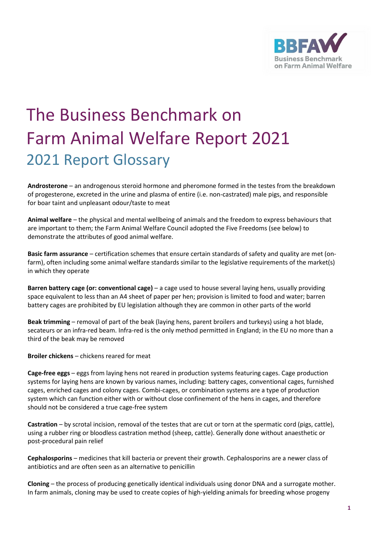

## The Business Benchmark on Farm Animal Welfare Report 2021 2021 Report Glossary

**Androsterone** – an androgenous steroid hormone and pheromone formed in the testes from the breakdown of progesterone, excreted in the urine and plasma of entire (i.e. non-castrated) male pigs, and responsible for boar taint and unpleasant odour/taste to meat

**Animal welfare** – the physical and mental wellbeing of animals and the freedom to express behaviours that are important to them; the Farm Animal Welfare Council adopted the Five Freedoms (see below) to demonstrate the attributes of good animal welfare.

**Basic farm assurance** – certification schemes that ensure certain standards of safety and quality are met (onfarm), often including some animal welfare standards similar to the legislative requirements of the market(s) in which they operate

**Barren battery cage (or: conventional cage)** – a cage used to house several laying hens, usually providing space equivalent to less than an A4 sheet of paper per hen; provision is limited to food and water; barren battery cages are prohibited by EU legislation although they are common in other parts of the world

**Beak trimming** – removal of part of the beak (laying hens, parent broilers and turkeys) using a hot blade, secateurs or an infra-red beam. Infra-red is the only method permitted in England; in the EU no more than a third of the beak may be removed

**Broiler chickens** – chickens reared for meat

**Cage-free eggs** – eggs from laying hens not reared in production systems featuring cages. Cage production systems for laying hens are known by various names, including: battery cages, conventional cages, furnished cages, enriched cages and colony cages. Combi-cages, or combination systems are a type of production system which can function either with or without close confinement of the hens in cages, and therefore should not be considered a true cage-free system

**Castration** – by scrotal incision, removal of the testes that are cut or torn at the spermatic cord (pigs, cattle), using a rubber ring or bloodless castration method (sheep, cattle). Generally done without anaesthetic or post-procedural pain relief

**Cephalosporins** – medicines that kill bacteria or prevent their growth. Cephalosporins are a newer class of antibiotics and are often seen as an alternative to penicillin

**Cloning** – the process of producing genetically identical individuals using donor DNA and a surrogate mother. In farm animals, cloning may be used to create copies of high-yielding animals for breeding whose progeny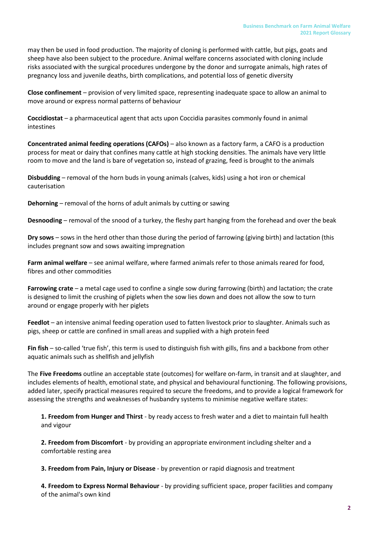may then be used in food production. The majority of cloning is performed with cattle, but pigs, goats and sheep have also been subject to the procedure. Animal welfare concerns associated with cloning include risks associated with the surgical procedures undergone by the donor and surrogate animals, high rates of pregnancy loss and juvenile deaths, birth complications, and potential loss of genetic diversity

**Close confinement** – provision of very limited space, representing inadequate space to allow an animal to move around or express normal patterns of behaviour

**Coccidiostat** – a pharmaceutical agent that acts upon Coccidia parasites commonly found in animal intestines

**Concentrated animal feeding operations (CAFOs)** – also known as a factory farm, a CAFO is a production process for meat or dairy that confines many cattle at high stocking densities. The animals have very little room to move and the land is bare of vegetation so, instead of grazing, feed is brought to the animals

**Disbudding** – removal of the horn buds in young animals (calves, kids) using a hot iron or chemical cauterisation

**Dehorning** – removal of the horns of adult animals by cutting or sawing

**Desnooding** – removal of the snood of a turkey, the fleshy part hanging from the forehead and over the beak

**Dry sows** – sows in the herd other than those during the period of farrowing (giving birth) and lactation (this includes pregnant sow and sows awaiting impregnation

**Farm animal welfare** – see animal welfare, where farmed animals refer to those animals reared for food, fibres and other commodities

**Farrowing crate** – a metal cage used to confine a single sow during farrowing (birth) and lactation; the crate is designed to limit the crushing of piglets when the sow lies down and does not allow the sow to turn around or engage properly with her piglets

**Feedlot** – an intensive animal feeding operation used to fatten livestock prior to slaughter. Animals such as pigs, sheep or cattle are confined in small areas and supplied with a high protein feed

**Fin fish** – so-called 'true fish', this term is used to distinguish fish with gills, fins and a backbone from other aquatic animals such as shellfish and jellyfish

The **Five Freedoms** outline an acceptable state (outcomes) for welfare on-farm, in transit and at slaughter, and includes elements of health, emotional state, and physical and behavioural functioning. The following provisions, added later, specify practical measures required to secure the freedoms, and to provide a logical framework for assessing the strengths and weaknesses of husbandry systems to minimise negative welfare states:

**1. Freedom from Hunger and Thirst** - by ready access to fresh water and a diet to maintain full health and vigour

**2. Freedom from Discomfort** - by providing an appropriate environment including shelter and a comfortable resting area

**3. Freedom from Pain, Injury or Disease** - by prevention or rapid diagnosis and treatment

**4. Freedom to Express Normal Behaviour** - by providing sufficient space, proper facilities and company of the animal's own kind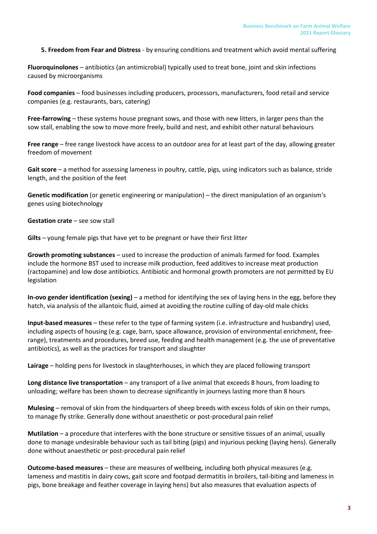**5. Freedom from Fear and Distress** - by ensuring conditions and treatment which avoid mental suffering

**Fluoroquinolones** – antibiotics (an antimicrobial) typically used to treat bone, joint and skin infections caused by microorganisms

**Food companies** – food businesses including producers, processors, manufacturers, food retail and service companies (e.g. restaurants, bars, catering)

**Free-farrowing** – these systems house pregnant sows, and those with new litters, in larger pens than the sow stall, enabling the sow to move more freely, build and nest, and exhibit other natural behaviours

**Free range** – free range livestock have access to an outdoor area for at least part of the day, allowing greater freedom of movement

Gait score - a method for assessing lameness in poultry, cattle, pigs, using indicators such as balance, stride length, and the position of the feet

**Genetic modification** (or genetic engineering or manipulation) – the direct manipulation of an organism's genes using biotechnology

**Gestation crate** – see sow stall

**Gilts** – young female pigs that have yet to be pregnant or have their first litter

**Growth promoting substances** – used to increase the production of animals farmed for food. Examples include the hormone BST used to increase milk production, feed additives to increase meat production (ractopamine) and low dose antibiotics. Antibiotic and hormonal growth promoters are not permitted by EU legislation

**In-ovo gender identification (sexing)** – a method for identifying the sex of laying hens in the egg, before they hatch, via analysis of the allantoic fluid, aimed at avoiding the routine culling of day-old male chicks

**Input-based measures** – these refer to the type of farming system (i.e. infrastructure and husbandry) used, including aspects of housing (e.g. cage, barn, space allowance, provision of environmental enrichment, freerange), treatments and procedures, breed use, feeding and health management (e.g. the use of preventative antibiotics), as well as the practices for transport and slaughter

**Lairage** – holding pens for livestock in slaughterhouses, in which they are placed following transport

**Long distance live transportation** – any transport of a live animal that exceeds 8 hours, from loading to unloading; welfare has been shown to decrease significantly in journeys lasting more than 8 hours

**Mulesing** – removal of skin from the hindquarters of sheep breeds with excess folds of skin on their rumps, to manage fly strike. Generally done without anaesthetic or post-procedural pain relief

**Mutilation** – a procedure that interferes with the bone structure or sensitive tissues of an animal, usually done to manage undesirable behaviour such as tail biting (pigs) and injurious pecking (laying hens). Generally done without anaesthetic or post-procedural pain relief

**Outcome-based measures** – these are measures of wellbeing, including both physical measures (e.g. lameness and mastitis in dairy cows, gait score and footpad dermatitis in broilers, tail-biting and lameness in pigs, bone breakage and feather coverage in laying hens) but also measures that evaluation aspects of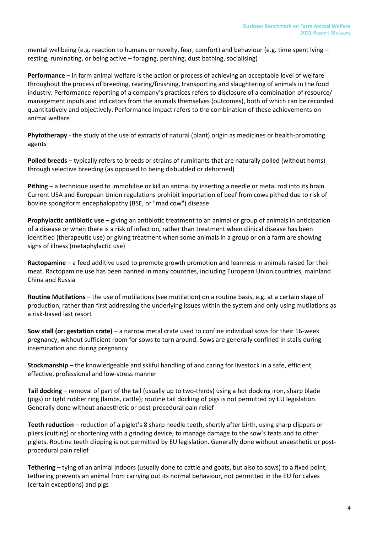mental wellbeing (e.g. reaction to humans or novelty, fear, comfort) and behaviour (e.g. time spent lying – resting, ruminating, or being active – foraging, perching, dust bathing, socialising)

**Performance** – in farm animal welfare is the action or process of achieving an acceptable level of welfare throughout the process of breeding, rearing/finishing, transporting and slaughtering of animals in the food industry. Performance reporting of a company's practices refers to disclosure of a combination of resource/ management inputs and indicators from the animals themselves (outcomes), both of which can be recorded quantitatively and objectively. Performance impact refers to the combination of these achievements on animal welfare

**Phytotherapy** - the study of the use of extracts of natural (plant) origin as medicines or health-promoting agents

**Polled breeds** – typically refers to breeds or strains of ruminants that are naturally polled (without horns) through selective breeding (as opposed to being disbudded or dehorned)

**Pithing** – a technique used to immobilise or kill an animal by inserting a needle or metal rod into its brain. Current USA and European Union regulations prohibit importation of beef from cows pithed due to risk of bovine spongiform encephalopathy (BSE, or "mad cow") disease

**Prophylactic antibiotic use** – giving an antibiotic treatment to an animal or group of animals in anticipation of a disease or when there is a risk of infection, rather than treatment when clinical disease has been identified (therapeutic use) or giving treatment when some animals in a group or on a farm are showing signs of illness (metaphylactic use)

**Ractopamine** – a feed additive used to promote growth promotion and leanness in animals raised for their meat. Ractopamine use has been banned in many countries, including European Union countries, mainland China and Russia

**Routine Mutilations** – the use of mutilations (see mutilation) on a routine basis, e.g. at a certain stage of production, rather than first addressing the underlying issues within the system and only using mutilations as a risk-based last resort

**Sow stall (or: gestation crate)** – a narrow metal crate used to confine individual sows for their 16-week pregnancy, without sufficient room for sows to turn around. Sows are generally confined in stalls during insemination and during pregnancy

**Stockmanship** – the knowledgeable and skilful handling of and caring for livestock in a safe, efficient, effective, professional and low-stress manner

**Tail docking** – removal of part of the tail (usually up to two-thirds) using a hot docking iron, sharp blade (pigs) or tight rubber ring (lambs, cattle); routine tail docking of pigs is not permitted by EU legislation. Generally done without anaesthetic or post-procedural pain relief

**Teeth reduction** – reduction of a piglet's 8 sharp needle teeth, shortly after birth, using sharp clippers or pliers (cutting) or shortening with a grinding device; to manage damage to the sow's teats and to other piglets. Routine teeth clipping is not permitted by EU legislation. Generally done without anaesthetic or postprocedural pain relief

**Tethering** – tying of an animal indoors (usually done to cattle and goats, but also to sows) to a fixed point; tethering prevents an animal from carrying out its normal behaviour, not permitted in the EU for calves (certain exceptions) and pigs